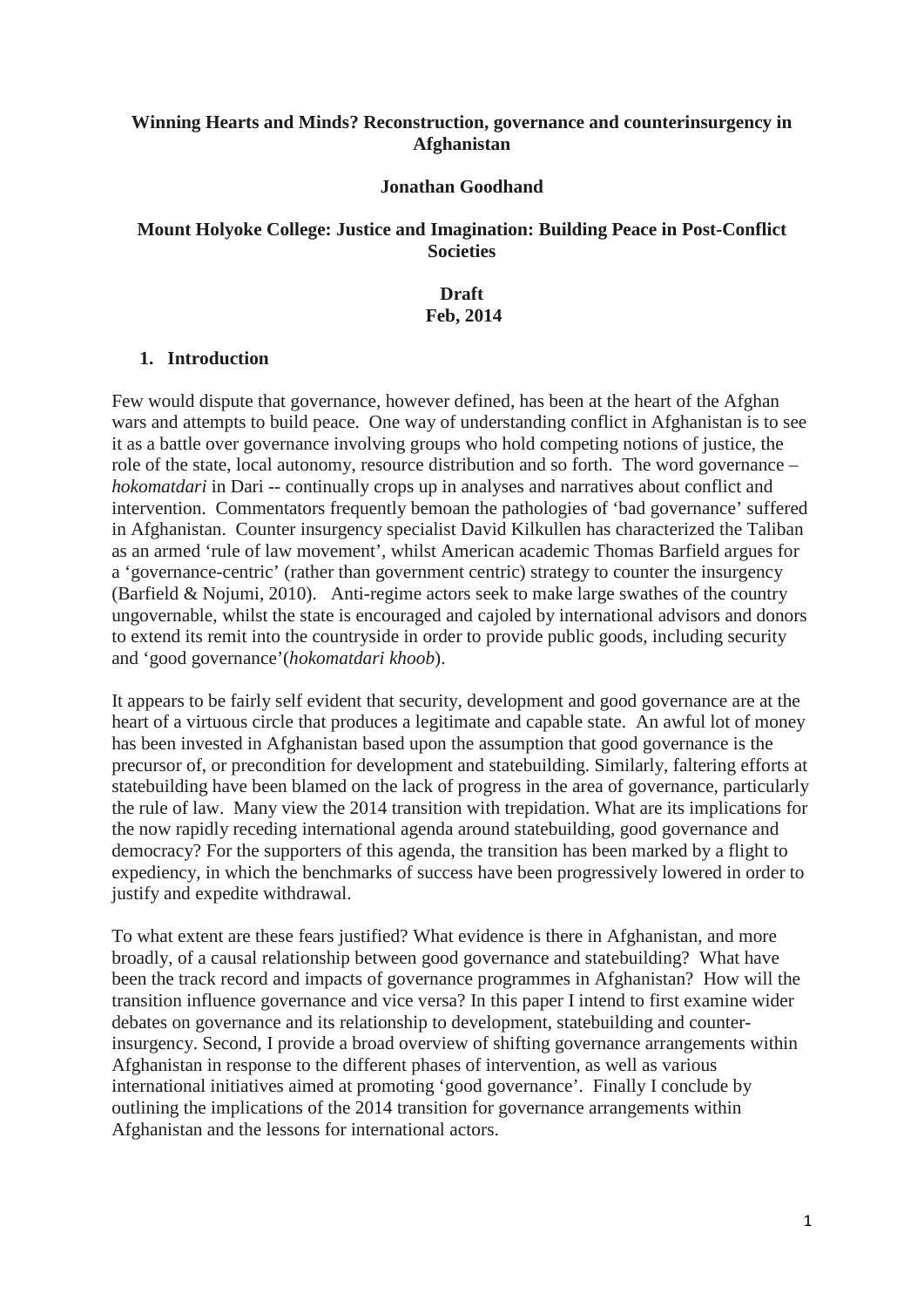## **Winning Hearts and Minds? Reconstruction, governance and counterinsurgency in Afghanistan**

### **Jonathan Goodhand**

## **Mount Holyoke College: Justice and Imagination: Building Peace in Post-Conflict Societies**

## **Draft Feb, 2014**

### **1. Introduction**

Few would dispute that governance, however defined, has been at the heart of the Afghan wars and attempts to build peace. One way of understanding conflict in Afghanistan is to see it as a battle over governance involving groups who hold competing notions of justice, the role of the state, local autonomy, resource distribution and so forth. The word governance – *hokomatdari* in Dari -- continually crops up in analyses and narratives about conflict and intervention. Commentators frequently bemoan the pathologies of 'bad governance' suffered in Afghanistan. Counter insurgency specialist David Kilkullen has characterized the Taliban as an armed 'rule of law movement', whilst American academic Thomas Barfield argues for a 'governance-centric' (rather than government centric) strategy to counter the insurgency (Barfield & Nojumi, 2010). Anti-regime actors seek to make large swathes of the country ungovernable, whilst the state is encouraged and cajoled by international advisors and donors to extend its remit into the countryside in order to provide public goods, including security and 'good governance'(*hokomatdari khoob*).

It appears to be fairly self evident that security, development and good governance are at the heart of a virtuous circle that produces a legitimate and capable state. An awful lot of money has been invested in Afghanistan based upon the assumption that good governance is the precursor of, or precondition for development and statebuilding. Similarly, faltering efforts at statebuilding have been blamed on the lack of progress in the area of governance, particularly the rule of law. Many view the 2014 transition with trepidation. What are its implications for the now rapidly receding international agenda around statebuilding, good governance and democracy? For the supporters of this agenda, the transition has been marked by a flight to expediency, in which the benchmarks of success have been progressively lowered in order to justify and expedite withdrawal.

To what extent are these fears justified? What evidence is there in Afghanistan, and more broadly, of a causal relationship between good governance and statebuilding? What have been the track record and impacts of governance programmes in Afghanistan? How will the transition influence governance and vice versa? In this paper I intend to first examine wider debates on governance and its relationship to development, statebuilding and counterinsurgency. Second, I provide a broad overview of shifting governance arrangements within Afghanistan in response to the different phases of intervention, as well as various international initiatives aimed at promoting 'good governance'. Finally I conclude by outlining the implications of the 2014 transition for governance arrangements within Afghanistan and the lessons for international actors.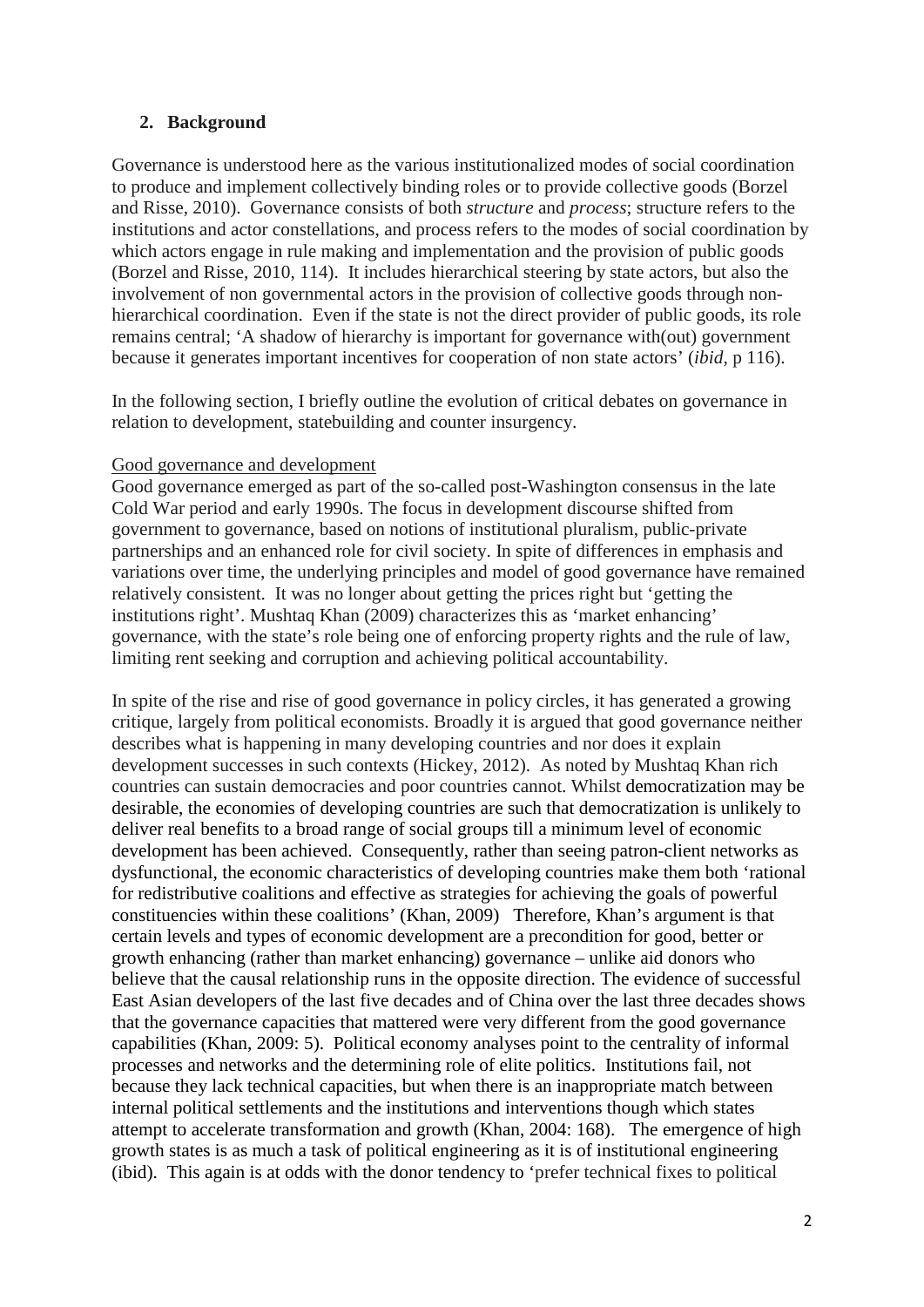# **2. Background**

Governance is understood here as the various institutionalized modes of social coordination to produce and implement collectively binding roles or to provide collective goods (Borzel and Risse, 2010). Governance consists of both *structure* and *process*; structure refers to the institutions and actor constellations, and process refers to the modes of social coordination by which actors engage in rule making and implementation and the provision of public goods (Borzel and Risse, 2010, 114). It includes hierarchical steering by state actors, but also the involvement of non governmental actors in the provision of collective goods through nonhierarchical coordination. Even if the state is not the direct provider of public goods, its role remains central; 'A shadow of hierarchy is important for governance with(out) government because it generates important incentives for cooperation of non state actors' (*ibid*, p 116).

In the following section, I briefly outline the evolution of critical debates on governance in relation to development, statebuilding and counter insurgency.

## Good governance and development

Good governance emerged as part of the so-called post-Washington consensus in the late Cold War period and early 1990s. The focus in development discourse shifted from government to governance, based on notions of institutional pluralism, public-private partnerships and an enhanced role for civil society. In spite of differences in emphasis and variations over time, the underlying principles and model of good governance have remained relatively consistent. It was no longer about getting the prices right but 'getting the institutions right'. Mushtaq Khan (2009) characterizes this as 'market enhancing' governance, with the state's role being one of enforcing property rights and the rule of law, limiting rent seeking and corruption and achieving political accountability.

In spite of the rise and rise of good governance in policy circles, it has generated a growing critique, largely from political economists. Broadly it is argued that good governance neither describes what is happening in many developing countries and nor does it explain development successes in such contexts (Hickey, 2012). As noted by Mushtaq Khan rich countries can sustain democracies and poor countries cannot. Whilst democratization may be desirable, the economies of developing countries are such that democratization is unlikely to deliver real benefits to a broad range of social groups till a minimum level of economic development has been achieved. Consequently, rather than seeing patron-client networks as dysfunctional, the economic characteristics of developing countries make them both 'rational for redistributive coalitions and effective as strategies for achieving the goals of powerful constituencies within these coalitions' (Khan, 2009) Therefore, Khan's argument is that certain levels and types of economic development are a precondition for good, better or growth enhancing (rather than market enhancing) governance – unlike aid donors who believe that the causal relationship runs in the opposite direction. The evidence of successful East Asian developers of the last five decades and of China over the last three decades shows that the governance capacities that mattered were very different from the good governance capabilities (Khan, 2009: 5). Political economy analyses point to the centrality of informal processes and networks and the determining role of elite politics. Institutions fail, not because they lack technical capacities, but when there is an inappropriate match between internal political settlements and the institutions and interventions though which states attempt to accelerate transformation and growth (Khan, 2004: 168). The emergence of high growth states is as much a task of political engineering as it is of institutional engineering (ibid). This again is at odds with the donor tendency to 'prefer technical fixes to political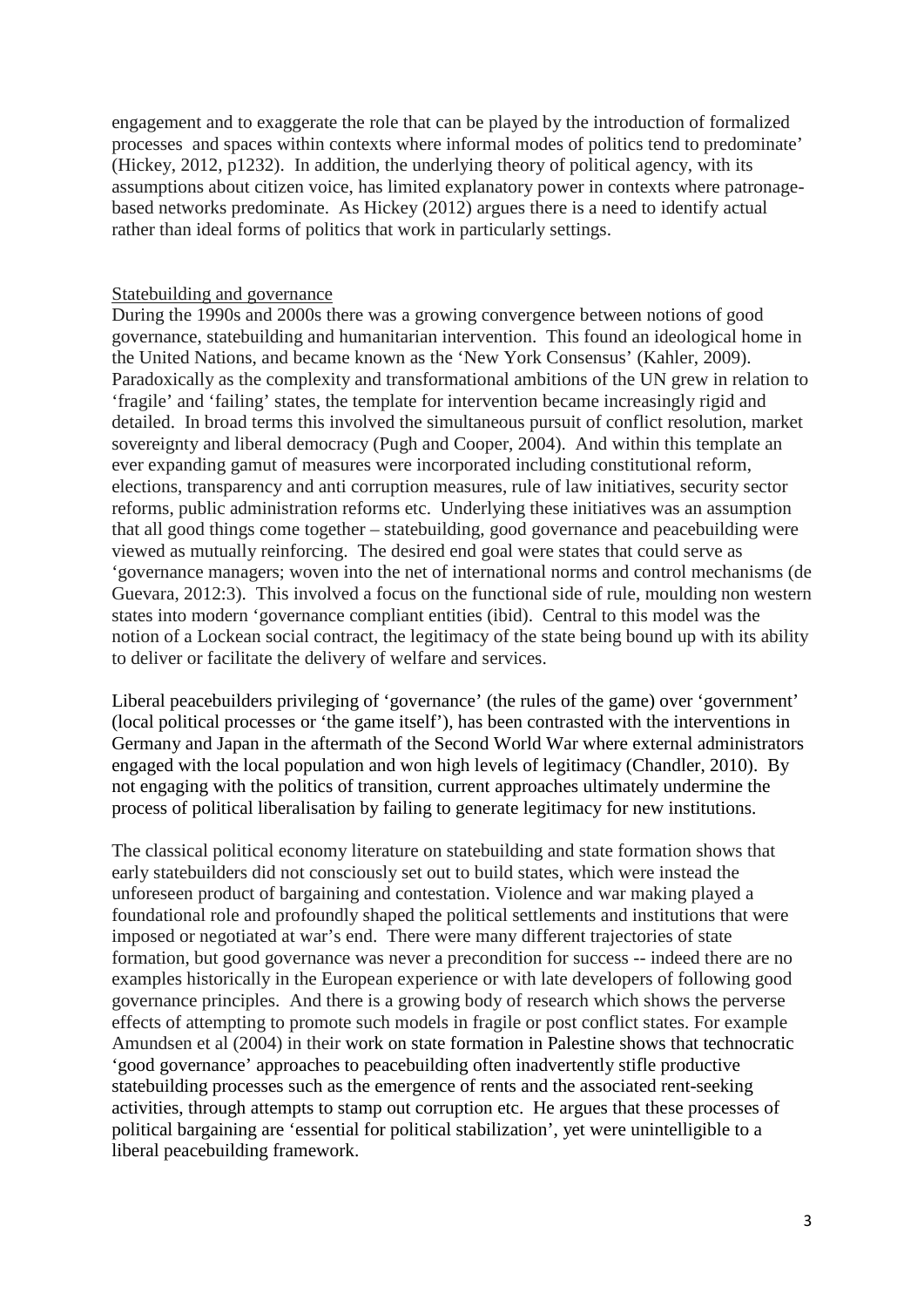engagement and to exaggerate the role that can be played by the introduction of formalized processes and spaces within contexts where informal modes of politics tend to predominate' (Hickey, 2012, p1232). In addition, the underlying theory of political agency, with its assumptions about citizen voice, has limited explanatory power in contexts where patronagebased networks predominate. As Hickey (2012) argues there is a need to identify actual rather than ideal forms of politics that work in particularly settings.

#### Statebuilding and governance

During the 1990s and 2000s there was a growing convergence between notions of good governance, statebuilding and humanitarian intervention. This found an ideological home in the United Nations, and became known as the 'New York Consensus' (Kahler, 2009). Paradoxically as the complexity and transformational ambitions of the UN grew in relation to 'fragile' and 'failing' states, the template for intervention became increasingly rigid and detailed. In broad terms this involved the simultaneous pursuit of conflict resolution, market sovereignty and liberal democracy (Pugh and Cooper, 2004). And within this template an ever expanding gamut of measures were incorporated including constitutional reform, elections, transparency and anti corruption measures, rule of law initiatives, security sector reforms, public administration reforms etc. Underlying these initiatives was an assumption that all good things come together – statebuilding, good governance and peacebuilding were viewed as mutually reinforcing. The desired end goal were states that could serve as 'governance managers; woven into the net of international norms and control mechanisms (de Guevara, 2012:3). This involved a focus on the functional side of rule, moulding non western states into modern 'governance compliant entities (ibid). Central to this model was the notion of a Lockean social contract, the legitimacy of the state being bound up with its ability to deliver or facilitate the delivery of welfare and services.

Liberal peacebuilders privileging of 'governance' (the rules of the game) over 'government' (local political processes or 'the game itself'), has been contrasted with the interventions in Germany and Japan in the aftermath of the Second World War where external administrators engaged with the local population and won high levels of legitimacy (Chandler, 2010). By not engaging with the politics of transition, current approaches ultimately undermine the process of political liberalisation by failing to generate legitimacy for new institutions.

The classical political economy literature on statebuilding and state formation shows that early statebuilders did not consciously set out to build states, which were instead the unforeseen product of bargaining and contestation. Violence and war making played a foundational role and profoundly shaped the political settlements and institutions that were imposed or negotiated at war's end. There were many different trajectories of state formation, but good governance was never a precondition for success -- indeed there are no examples historically in the European experience or with late developers of following good governance principles. And there is a growing body of research which shows the perverse effects of attempting to promote such models in fragile or post conflict states. For example Amundsen et al (2004) in their work on state formation in Palestine shows that technocratic 'good governance' approaches to peacebuilding often inadvertently stifle productive statebuilding processes such as the emergence of rents and the associated rent-seeking activities, through attempts to stamp out corruption etc. He argues that these processes of political bargaining are 'essential for political stabilization', yet were unintelligible to a liberal peacebuilding framework.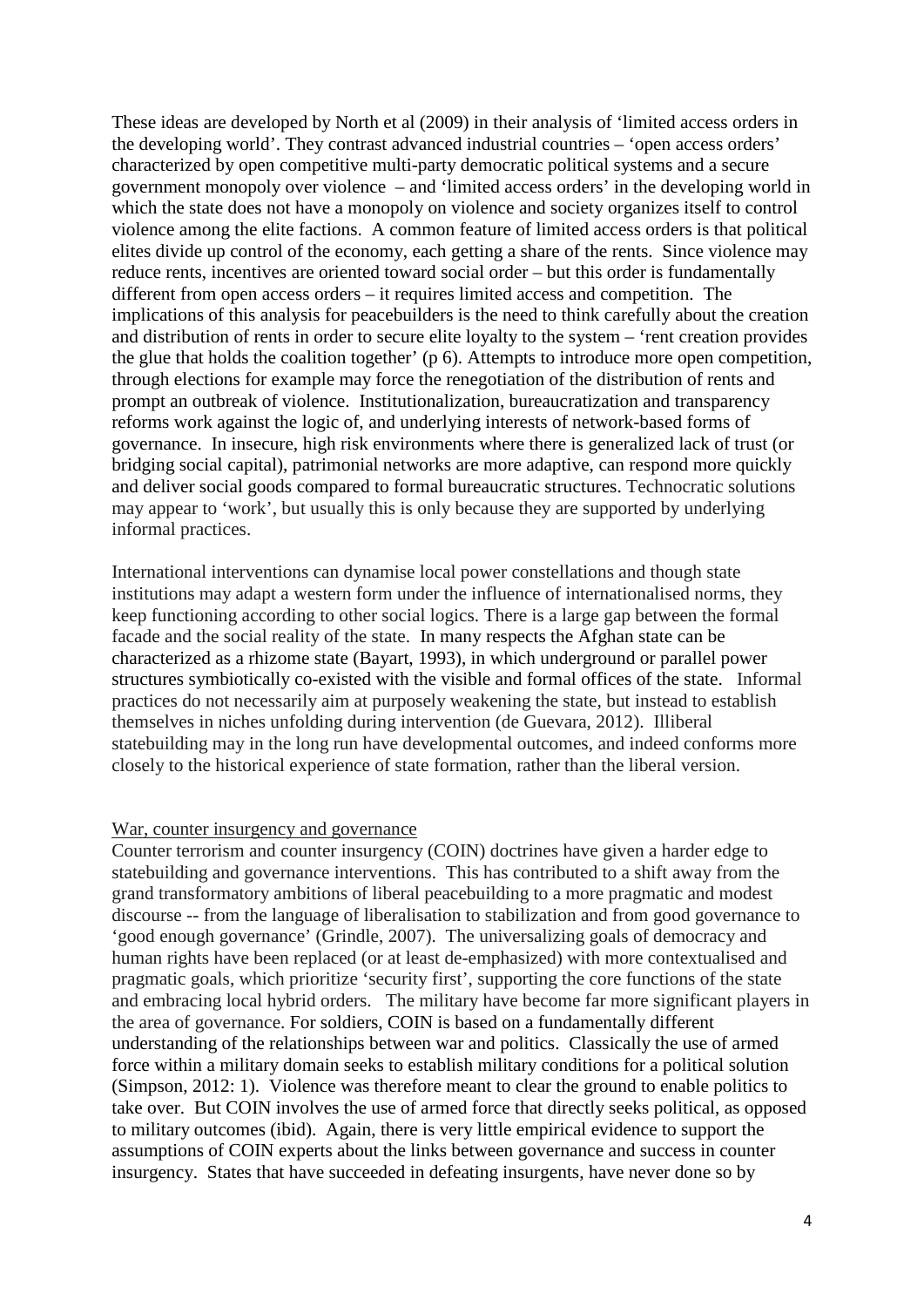These ideas are developed by North et al (2009) in their analysis of 'limited access orders in the developing world'. They contrast advanced industrial countries – 'open access orders' characterized by open competitive multi-party democratic political systems and a secure government monopoly over violence – and 'limited access orders' in the developing world in which the state does not have a monopoly on violence and society organizes itself to control violence among the elite factions. A common feature of limited access orders is that political elites divide up control of the economy, each getting a share of the rents. Since violence may reduce rents, incentives are oriented toward social order – but this order is fundamentally different from open access orders – it requires limited access and competition. The implications of this analysis for peacebuilders is the need to think carefully about the creation and distribution of rents in order to secure elite loyalty to the system – 'rent creation provides the glue that holds the coalition together' (p 6). Attempts to introduce more open competition, through elections for example may force the renegotiation of the distribution of rents and prompt an outbreak of violence. Institutionalization, bureaucratization and transparency reforms work against the logic of, and underlying interests of network-based forms of governance. In insecure, high risk environments where there is generalized lack of trust (or bridging social capital), patrimonial networks are more adaptive, can respond more quickly and deliver social goods compared to formal bureaucratic structures. Technocratic solutions may appear to 'work', but usually this is only because they are supported by underlying informal practices.

International interventions can dynamise local power constellations and though state institutions may adapt a western form under the influence of internationalised norms, they keep functioning according to other social logics. There is a large gap between the formal facade and the social reality of the state. In many respects the Afghan state can be characterized as a rhizome state (Bayart, 1993), in which underground or parallel power structures symbiotically co-existed with the visible and formal offices of the state. Informal practices do not necessarily aim at purposely weakening the state, but instead to establish themselves in niches unfolding during intervention (de Guevara, 2012). Illiberal statebuilding may in the long run have developmental outcomes, and indeed conforms more closely to the historical experience of state formation, rather than the liberal version.

#### War, counter insurgency and governance

Counter terrorism and counter insurgency (COIN) doctrines have given a harder edge to statebuilding and governance interventions. This has contributed to a shift away from the grand transformatory ambitions of liberal peacebuilding to a more pragmatic and modest discourse -- from the language of liberalisation to stabilization and from good governance to 'good enough governance' (Grindle, 2007). The universalizing goals of democracy and human rights have been replaced (or at least de-emphasized) with more contextualised and pragmatic goals, which prioritize 'security first', supporting the core functions of the state and embracing local hybrid orders. The military have become far more significant players in the area of governance. For soldiers, COIN is based on a fundamentally different understanding of the relationships between war and politics. Classically the use of armed force within a military domain seeks to establish military conditions for a political solution (Simpson, 2012: 1). Violence was therefore meant to clear the ground to enable politics to take over. But COIN involves the use of armed force that directly seeks political, as opposed to military outcomes (ibid). Again, there is very little empirical evidence to support the assumptions of COIN experts about the links between governance and success in counter insurgency. States that have succeeded in defeating insurgents, have never done so by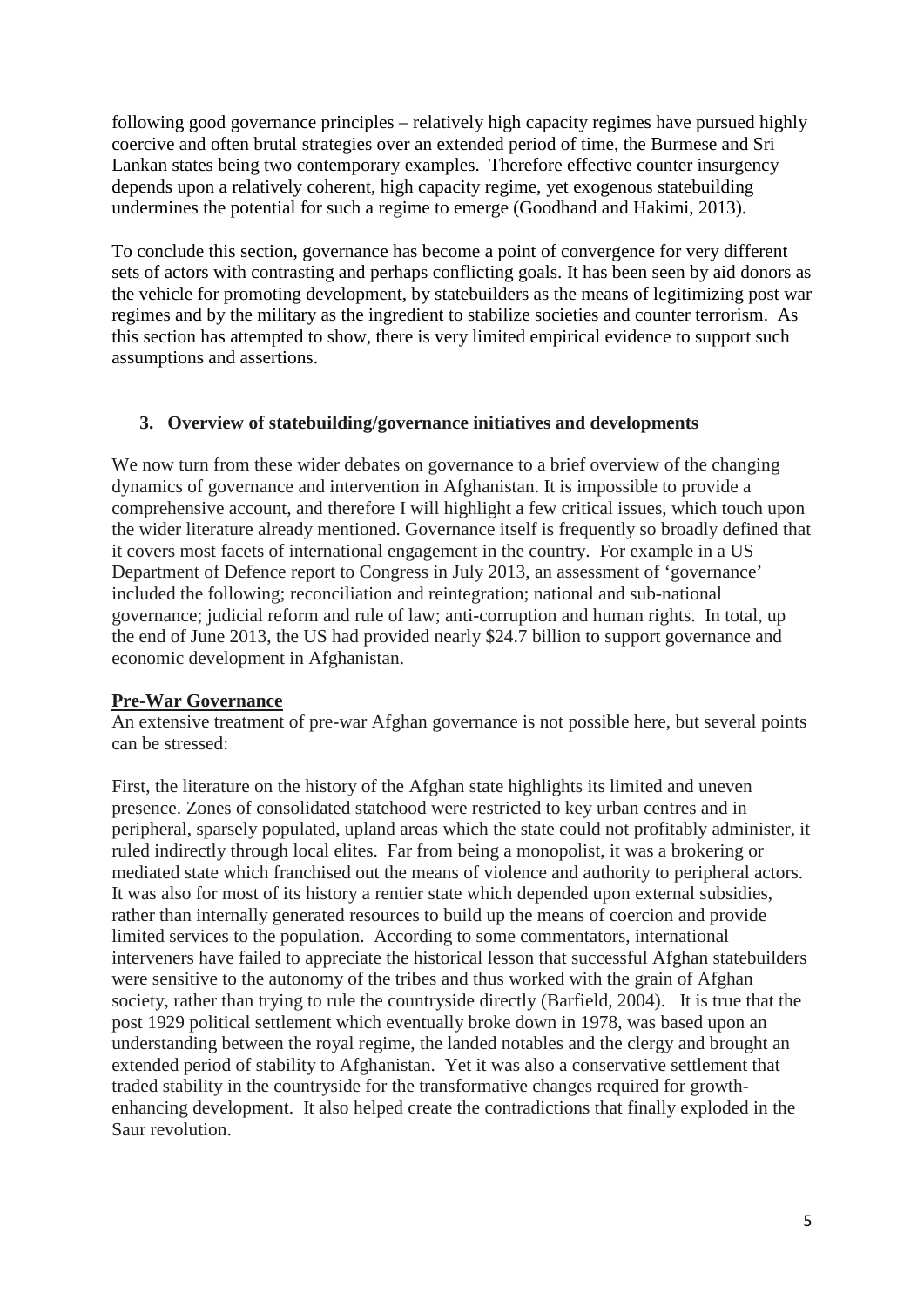following good governance principles – relatively high capacity regimes have pursued highly coercive and often brutal strategies over an extended period of time, the Burmese and Sri Lankan states being two contemporary examples. Therefore effective counter insurgency depends upon a relatively coherent, high capacity regime, yet exogenous statebuilding undermines the potential for such a regime to emerge (Goodhand and Hakimi, 2013).

To conclude this section, governance has become a point of convergence for very different sets of actors with contrasting and perhaps conflicting goals. It has been seen by aid donors as the vehicle for promoting development, by statebuilders as the means of legitimizing post war regimes and by the military as the ingredient to stabilize societies and counter terrorism. As this section has attempted to show, there is very limited empirical evidence to support such assumptions and assertions.

# **3. Overview of statebuilding/governance initiatives and developments**

We now turn from these wider debates on governance to a brief overview of the changing dynamics of governance and intervention in Afghanistan. It is impossible to provide a comprehensive account, and therefore I will highlight a few critical issues, which touch upon the wider literature already mentioned. Governance itself is frequently so broadly defined that it covers most facets of international engagement in the country. For example in a US Department of Defence report to Congress in July 2013, an assessment of 'governance' included the following; reconciliation and reintegration; national and sub-national governance; judicial reform and rule of law; anti-corruption and human rights. In total, up the end of June 2013, the US had provided nearly \$24.7 billion to support governance and economic development in Afghanistan.

### **Pre-War Governance**

An extensive treatment of pre-war Afghan governance is not possible here, but several points can be stressed:

First, the literature on the history of the Afghan state highlights its limited and uneven presence. Zones of consolidated statehood were restricted to key urban centres and in peripheral, sparsely populated, upland areas which the state could not profitably administer, it ruled indirectly through local elites. Far from being a monopolist, it was a brokering or mediated state which franchised out the means of violence and authority to peripheral actors. It was also for most of its history a rentier state which depended upon external subsidies, rather than internally generated resources to build up the means of coercion and provide limited services to the population. According to some commentators, international interveners have failed to appreciate the historical lesson that successful Afghan statebuilders were sensitive to the autonomy of the tribes and thus worked with the grain of Afghan society, rather than trying to rule the countryside directly (Barfield, 2004). It is true that the post 1929 political settlement which eventually broke down in 1978, was based upon an understanding between the royal regime, the landed notables and the clergy and brought an extended period of stability to Afghanistan. Yet it was also a conservative settlement that traded stability in the countryside for the transformative changes required for growthenhancing development. It also helped create the contradictions that finally exploded in the Saur revolution.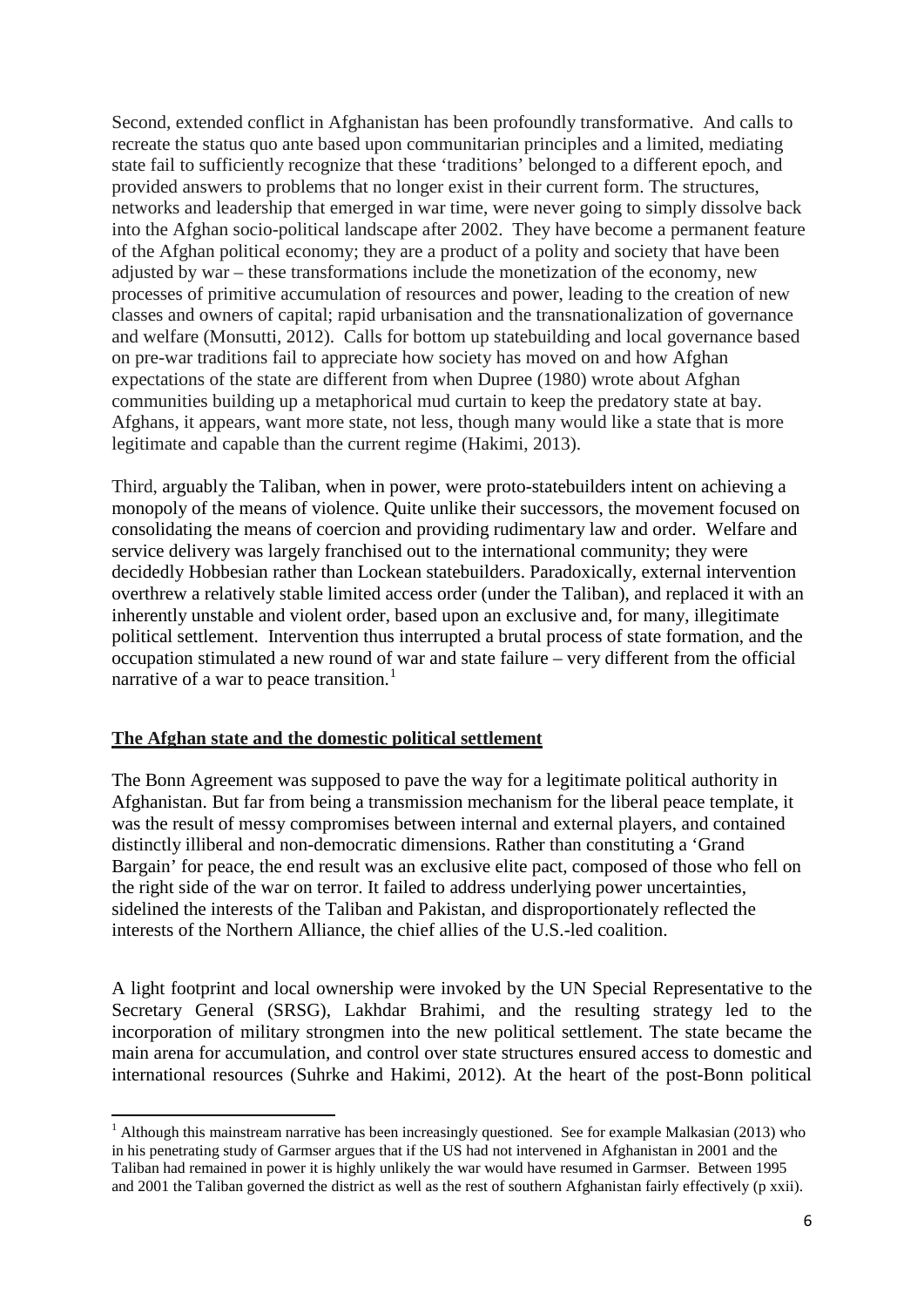Second, extended conflict in Afghanistan has been profoundly transformative. And calls to recreate the status quo ante based upon communitarian principles and a limited, mediating state fail to sufficiently recognize that these 'traditions' belonged to a different epoch, and provided answers to problems that no longer exist in their current form. The structures, networks and leadership that emerged in war time, were never going to simply dissolve back into the Afghan socio-political landscape after 2002. They have become a permanent feature of the Afghan political economy; they are a product of a polity and society that have been adjusted by war – these transformations include the monetization of the economy, new processes of primitive accumulation of resources and power, leading to the creation of new classes and owners of capital; rapid urbanisation and the transnationalization of governance and welfare (Monsutti, 2012). Calls for bottom up statebuilding and local governance based on pre-war traditions fail to appreciate how society has moved on and how Afghan expectations of the state are different from when Dupree (1980) wrote about Afghan communities building up a metaphorical mud curtain to keep the predatory state at bay. Afghans, it appears, want more state, not less, though many would like a state that is more legitimate and capable than the current regime (Hakimi, 2013).

Third, arguably the Taliban, when in power, were proto-statebuilders intent on achieving a monopoly of the means of violence. Quite unlike their successors, the movement focused on consolidating the means of coercion and providing rudimentary law and order. Welfare and service delivery was largely franchised out to the international community; they were decidedly Hobbesian rather than Lockean statebuilders. Paradoxically, external intervention overthrew a relatively stable limited access order (under the Taliban), and replaced it with an inherently unstable and violent order, based upon an exclusive and, for many, illegitimate political settlement. Intervention thus interrupted a brutal process of state formation, and the occupation stimulated a new round of war and state failure – very different from the official narrative of a war to peace transition.<sup>[1](#page-5-0)</sup>

### **The Afghan state and the domestic political settlement**

The Bonn Agreement was supposed to pave the way for a legitimate political authority in Afghanistan. But far from being a transmission mechanism for the liberal peace template, it was the result of messy compromises between internal and external players, and contained distinctly illiberal and non-democratic dimensions. Rather than constituting a 'Grand Bargain' for peace, the end result was an exclusive elite pact, composed of those who fell on the right side of the war on terror. It failed to address underlying power uncertainties, sidelined the interests of the Taliban and Pakistan, and disproportionately reflected the interests of the Northern Alliance, the chief allies of the U.S.-led coalition.

A light footprint and local ownership were invoked by the UN Special Representative to the Secretary General (SRSG), Lakhdar Brahimi, and the resulting strategy led to the incorporation of military strongmen into the new political settlement. The state became the main arena for accumulation, and control over state structures ensured access to domestic and international resources (Suhrke and Hakimi, 2012). At the heart of the post-Bonn political

<span id="page-5-0"></span><sup>&</sup>lt;sup>1</sup> Although this mainstream narrative has been increasingly questioned. See for example Malkasian (2013) who in his penetrating study of Garmser argues that if the US had not intervened in Afghanistan in 2001 and the Taliban had remained in power it is highly unlikely the war would have resumed in Garmser. Between 1995 and 2001 the Taliban governed the district as well as the rest of southern Afghanistan fairly effectively (p xxii).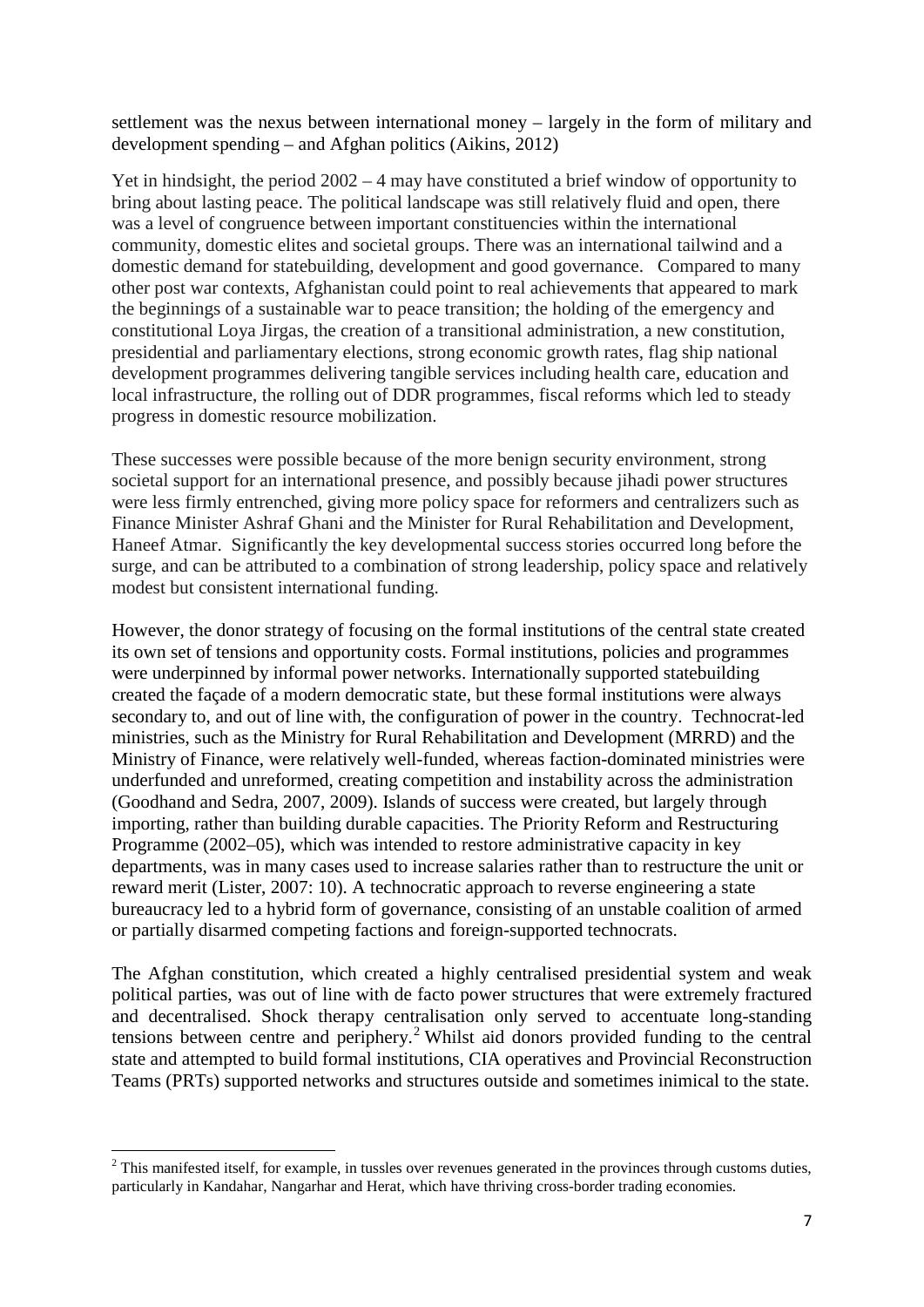settlement was the nexus between international money – largely in the form of military and development spending – and Afghan politics (Aikins, 2012)

Yet in hindsight, the period 2002 – 4 may have constituted a brief window of opportunity to bring about lasting peace. The political landscape was still relatively fluid and open, there was a level of congruence between important constituencies within the international community, domestic elites and societal groups. There was an international tailwind and a domestic demand for statebuilding, development and good governance. Compared to many other post war contexts, Afghanistan could point to real achievements that appeared to mark the beginnings of a sustainable war to peace transition; the holding of the emergency and constitutional Loya Jirgas, the creation of a transitional administration, a new constitution, presidential and parliamentary elections, strong economic growth rates, flag ship national development programmes delivering tangible services including health care, education and local infrastructure, the rolling out of DDR programmes, fiscal reforms which led to steady progress in domestic resource mobilization.

These successes were possible because of the more benign security environment, strong societal support for an international presence, and possibly because jihadi power structures were less firmly entrenched, giving more policy space for reformers and centralizers such as Finance Minister Ashraf Ghani and the Minister for Rural Rehabilitation and Development, Haneef Atmar. Significantly the key developmental success stories occurred long before the surge, and can be attributed to a combination of strong leadership, policy space and relatively modest but consistent international funding.

However, the donor strategy of focusing on the formal institutions of the central state created its own set of tensions and opportunity costs. Formal institutions, policies and programmes were underpinned by informal power networks. Internationally supported statebuilding created the façade of a modern democratic state, but these formal institutions were always secondary to, and out of line with, the configuration of power in the country. Technocrat-led ministries, such as the Ministry for Rural Rehabilitation and Development (MRRD) and the Ministry of Finance, were relatively well-funded, whereas faction-dominated ministries were underfunded and unreformed, creating competition and instability across the administration (Goodhand and Sedra, 2007, 2009). Islands of success were created, but largely through importing, rather than building durable capacities. The Priority Reform and Restructuring Programme (2002–05), which was intended to restore administrative capacity in key departments, was in many cases used to increase salaries rather than to restructure the unit or reward merit (Lister, 2007: 10). A technocratic approach to reverse engineering a state bureaucracy led to a hybrid form of governance, consisting of an unstable coalition of armed or partially disarmed competing factions and foreign-supported technocrats.

The Afghan constitution, which created a highly centralised presidential system and weak political parties, was out of line with de facto power structures that were extremely fractured and decentralised. Shock therapy centralisation only served to accentuate long-standing tensions between centre and periphery.[2](#page-6-0) Whilst aid donors provided funding to the central state and attempted to build formal institutions, CIA operatives and Provincial Reconstruction Teams (PRTs) supported networks and structures outside and sometimes inimical to the state.

<span id="page-6-0"></span> $2$ <sup>2</sup> This manifested itself, for example, in tussles over revenues generated in the provinces through customs duties, particularly in Kandahar, Nangarhar and Herat, which have thriving cross-border trading economies.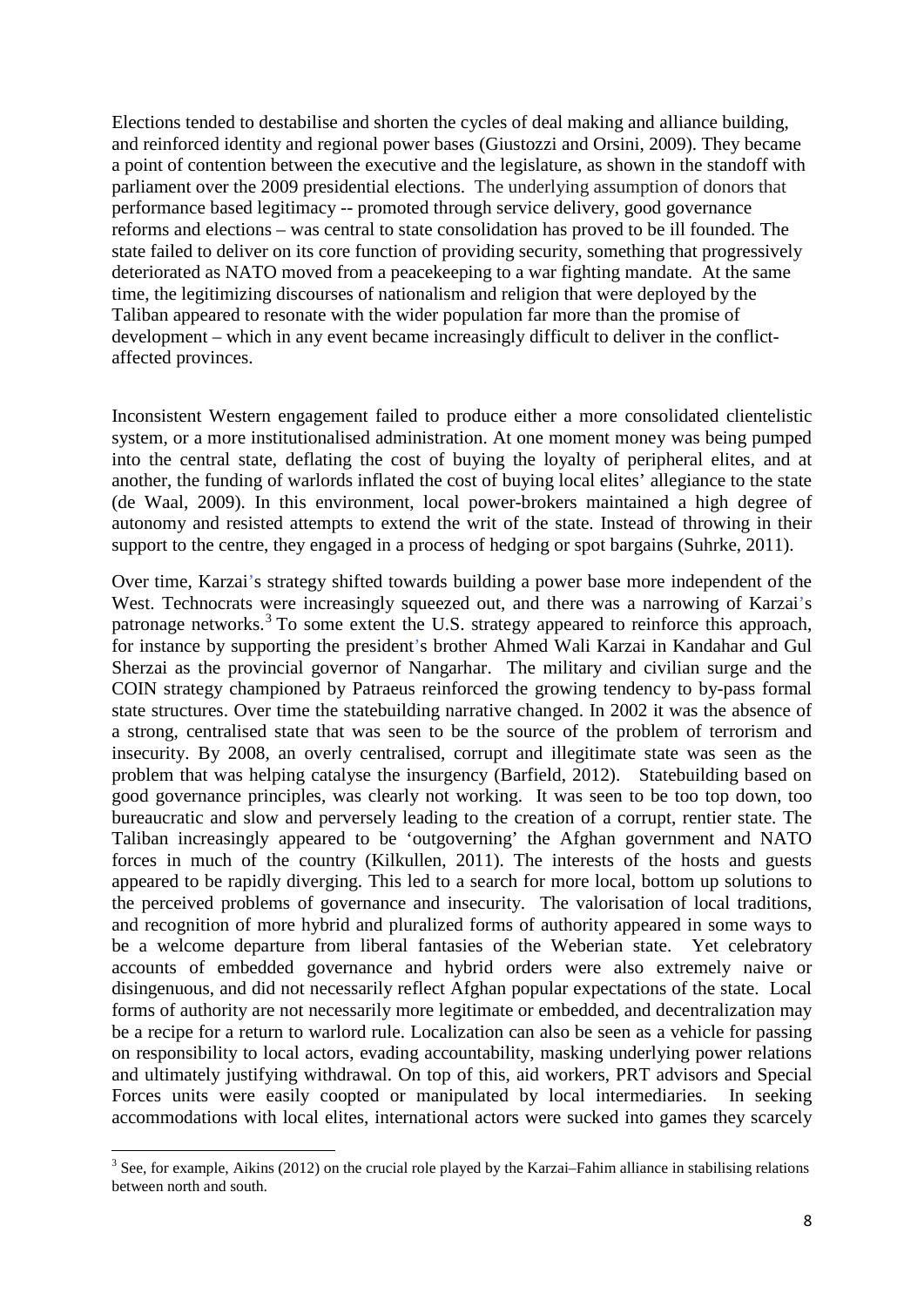Elections tended to destabilise and shorten the cycles of deal making and alliance building, and reinforced identity and regional power bases (Giustozzi and Orsini, 2009). They became a point of contention between the executive and the legislature, as shown in the standoff with parliament over the 2009 presidential elections. The underlying assumption of donors that performance based legitimacy -- promoted through service delivery, good governance reforms and elections – was central to state consolidation has proved to be ill founded. The state failed to deliver on its core function of providing security, something that progressively deteriorated as NATO moved from a peacekeeping to a war fighting mandate. At the same time, the legitimizing discourses of nationalism and religion that were deployed by the Taliban appeared to resonate with the wider population far more than the promise of development – which in any event became increasingly difficult to deliver in the conflictaffected provinces.

Inconsistent Western engagement failed to produce either a more consolidated clientelistic system, or a more institutionalised administration. At one moment money was being pumped into the central state, deflating the cost of buying the loyalty of peripheral elites, and at another, the funding of warlords inflated the cost of buying local elites' allegiance to the state (de Waal, 2009). In this environment, local power-brokers maintained a high degree of autonomy and resisted attempts to extend the writ of the state. Instead of throwing in their support to the centre, they engaged in a process of hedging or spot bargains (Suhrke, 2011).

Over time, Karzai's strategy shifted towards building a power base more independent of the West. Technocrats were increasingly squeezed out, and there was a narrowing of Karzai's patronage networks.<sup>[3](#page-7-0)</sup> To some extent the U.S. strategy appeared to reinforce this approach, for instance by supporting the president's brother Ahmed Wali Karzai in Kandahar and Gul Sherzai as the provincial governor of Nangarhar. The military and civilian surge and the COIN strategy championed by Patraeus reinforced the growing tendency to by-pass formal state structures. Over time the statebuilding narrative changed. In 2002 it was the absence of a strong, centralised state that was seen to be the source of the problem of terrorism and insecurity. By 2008, an overly centralised, corrupt and illegitimate state was seen as the problem that was helping catalyse the insurgency (Barfield, 2012). Statebuilding based on good governance principles, was clearly not working. It was seen to be too top down, too bureaucratic and slow and perversely leading to the creation of a corrupt, rentier state. The Taliban increasingly appeared to be 'outgoverning' the Afghan government and NATO forces in much of the country (Kilkullen, 2011). The interests of the hosts and guests appeared to be rapidly diverging. This led to a search for more local, bottom up solutions to the perceived problems of governance and insecurity. The valorisation of local traditions, and recognition of more hybrid and pluralized forms of authority appeared in some ways to be a welcome departure from liberal fantasies of the Weberian state. Yet celebratory accounts of embedded governance and hybrid orders were also extremely naive or disingenuous, and did not necessarily reflect Afghan popular expectations of the state. Local forms of authority are not necessarily more legitimate or embedded, and decentralization may be a recipe for a return to warlord rule. Localization can also be seen as a vehicle for passing on responsibility to local actors, evading accountability, masking underlying power relations and ultimately justifying withdrawal. On top of this, aid workers, PRT advisors and Special Forces units were easily coopted or manipulated by local intermediaries. In seeking accommodations with local elites, international actors were sucked into games they scarcely

<span id="page-7-0"></span><sup>&</sup>lt;sup>3</sup> See, for example, Aikins (2012) on the crucial role played by the Karzai–Fahim alliance in stabilising relations between north and south.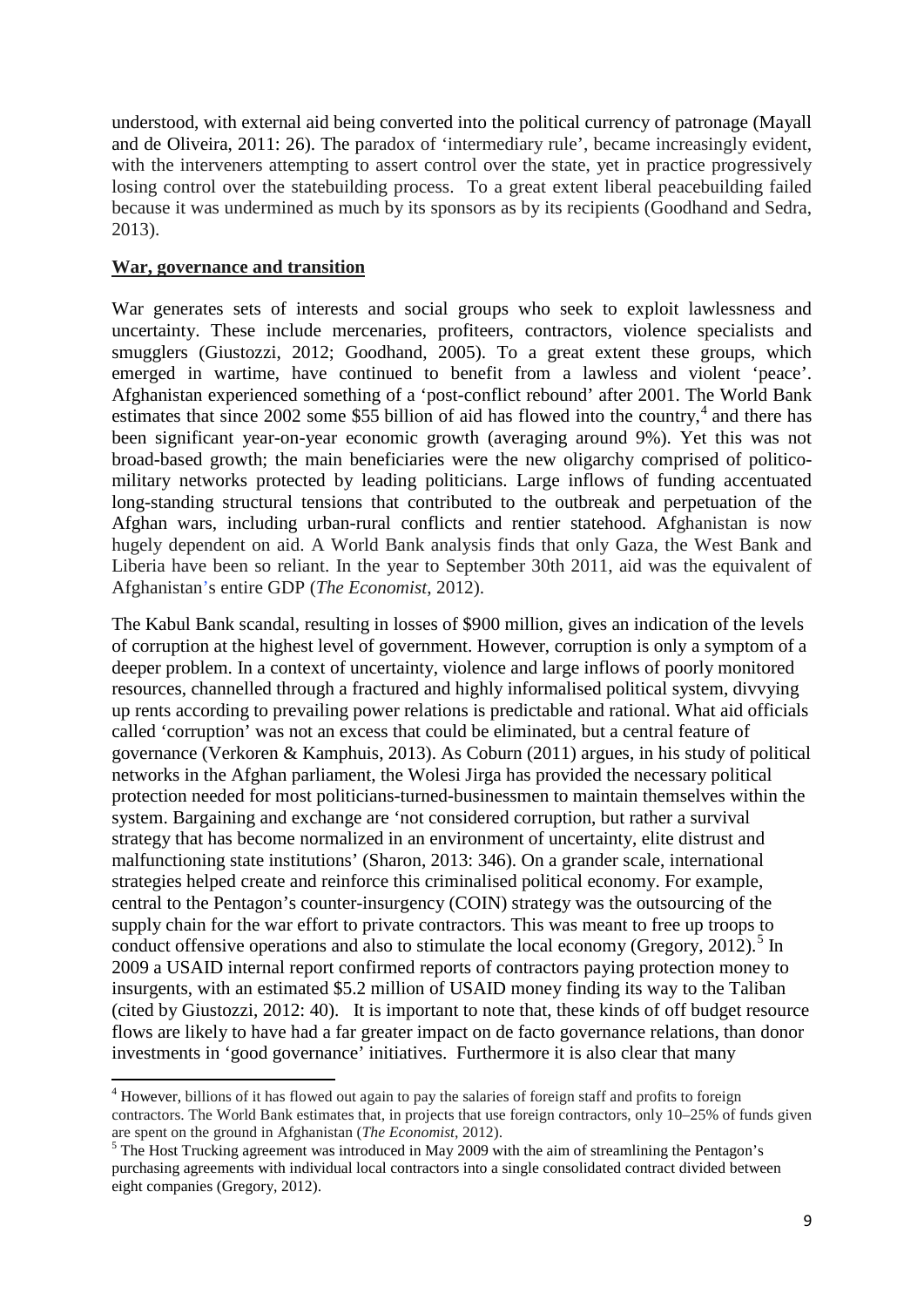understood, with external aid being converted into the political currency of patronage (Mayall and de Oliveira, 2011: 26). The paradox of 'intermediary rule', became increasingly evident, with the interveners attempting to assert control over the state, yet in practice progressively losing control over the statebuilding process. To a great extent liberal peacebuilding failed because it was undermined as much by its sponsors as by its recipients (Goodhand and Sedra, 2013).

## **War, governance and transition**

War generates sets of interests and social groups who seek to exploit lawlessness and uncertainty. These include mercenaries, profiteers, contractors, violence specialists and smugglers (Giustozzi, 2012; Goodhand, 2005). To a great extent these groups, which emerged in wartime, have continued to benefit from a lawless and violent 'peace'. Afghanistan experienced something of a 'post-conflict rebound' after 2001. The World Bank estimates that since  $2002$  some \$55 billion of aid has flowed into the country,<sup>[4](#page-8-0)</sup> and there has been significant year-on-year economic growth (averaging around 9%). Yet this was not broad-based growth; the main beneficiaries were the new oligarchy comprised of politicomilitary networks protected by leading politicians. Large inflows of funding accentuated long-standing structural tensions that contributed to the outbreak and perpetuation of the Afghan wars, including urban-rural conflicts and rentier statehood. Afghanistan is now hugely dependent on aid. A World Bank analysis finds that only Gaza, the West Bank and Liberia have been so reliant. In the year to September 30th 2011, aid was the equivalent of Afghanistan's entire GDP (*The Economist*, 2012).

The Kabul Bank scandal, resulting in losses of \$900 million, gives an indication of the levels of corruption at the highest level of government. However, corruption is only a symptom of a deeper problem. In a context of uncertainty, violence and large inflows of poorly monitored resources, channelled through a fractured and highly informalised political system, divvying up rents according to prevailing power relations is predictable and rational. What aid officials called 'corruption' was not an excess that could be eliminated, but a central feature of governance (Verkoren & Kamphuis, 2013). As Coburn (2011) argues, in his study of political networks in the Afghan parliament, the Wolesi Jirga has provided the necessary political protection needed for most politicians-turned-businessmen to maintain themselves within the system. Bargaining and exchange are 'not considered corruption, but rather a survival strategy that has become normalized in an environment of uncertainty, elite distrust and malfunctioning state institutions' (Sharon, 2013: 346). On a grander scale, international strategies helped create and reinforce this criminalised political economy. For example, central to the Pentagon's counter-insurgency (COIN) strategy was the outsourcing of the supply chain for the war effort to private contractors. This was meant to free up troops to conduct offensive operations and also to stimulate the local economy (Gregory, 2012).<sup>[5](#page-8-1)</sup> In 2009 a USAID internal report confirmed reports of contractors paying protection money to insurgents, with an estimated \$5.2 million of USAID money finding its way to the Taliban (cited by Giustozzi, 2012: 40). It is important to note that, these kinds of off budget resource flows are likely to have had a far greater impact on de facto governance relations, than donor investments in 'good governance' initiatives. Furthermore it is also clear that many

<span id="page-8-0"></span><sup>&</sup>lt;sup>4</sup> However, billions of it has flowed out again to pay the salaries of foreign staff and profits to foreign contractors. The World Bank estimates that, in projects that use foreign contractors, only 10–25% of funds given are spent on the ground in Afghanistan (*The Economist*, 2012).<br><sup>5</sup> The Host Trucking agreement was introduced in May 2009 with the aim of streamlining the Pentagon's

<span id="page-8-1"></span>purchasing agreements with individual local contractors into a single consolidated contract divided between eight companies (Gregory, 2012).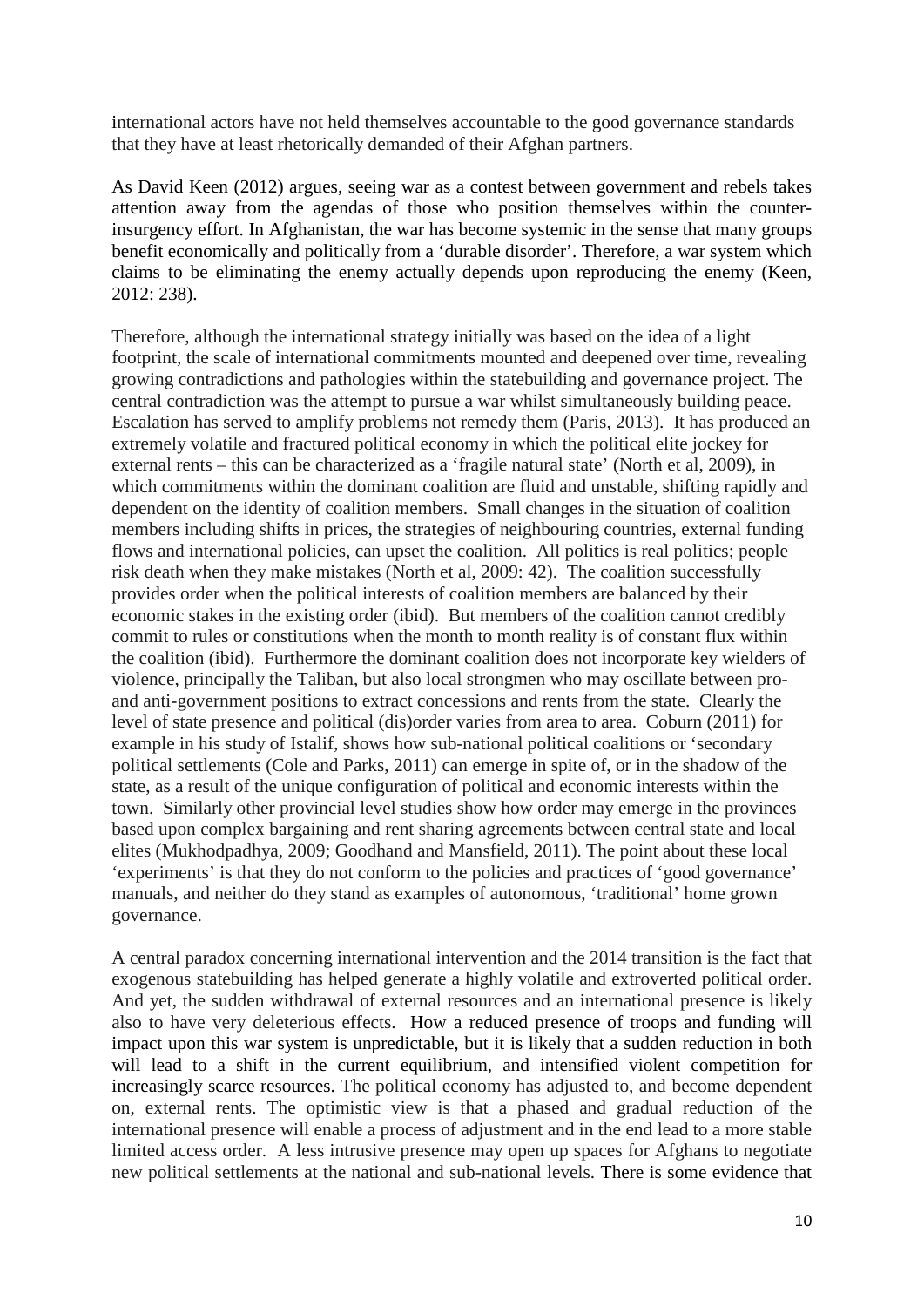international actors have not held themselves accountable to the good governance standards that they have at least rhetorically demanded of their Afghan partners.

As David Keen (2012) argues, seeing war as a contest between government and rebels takes attention away from the agendas of those who position themselves within the counterinsurgency effort. In Afghanistan, the war has become systemic in the sense that many groups benefit economically and politically from a 'durable disorder'. Therefore, a war system which claims to be eliminating the enemy actually depends upon reproducing the enemy (Keen, 2012: 238).

Therefore, although the international strategy initially was based on the idea of a light footprint, the scale of international commitments mounted and deepened over time, revealing growing contradictions and pathologies within the statebuilding and governance project. The central contradiction was the attempt to pursue a war whilst simultaneously building peace. Escalation has served to amplify problems not remedy them (Paris, 2013). It has produced an extremely volatile and fractured political economy in which the political elite jockey for external rents – this can be characterized as a 'fragile natural state' (North et al, 2009), in which commitments within the dominant coalition are fluid and unstable, shifting rapidly and dependent on the identity of coalition members. Small changes in the situation of coalition members including shifts in prices, the strategies of neighbouring countries, external funding flows and international policies, can upset the coalition. All politics is real politics; people risk death when they make mistakes (North et al, 2009: 42). The coalition successfully provides order when the political interests of coalition members are balanced by their economic stakes in the existing order (ibid). But members of the coalition cannot credibly commit to rules or constitutions when the month to month reality is of constant flux within the coalition (ibid). Furthermore the dominant coalition does not incorporate key wielders of violence, principally the Taliban, but also local strongmen who may oscillate between proand anti-government positions to extract concessions and rents from the state. Clearly the level of state presence and political (dis)order varies from area to area. Coburn (2011) for example in his study of Istalif, shows how sub-national political coalitions or 'secondary political settlements (Cole and Parks, 2011) can emerge in spite of, or in the shadow of the state, as a result of the unique configuration of political and economic interests within the town. Similarly other provincial level studies show how order may emerge in the provinces based upon complex bargaining and rent sharing agreements between central state and local elites (Mukhodpadhya, 2009; Goodhand and Mansfield, 2011). The point about these local 'experiments' is that they do not conform to the policies and practices of 'good governance' manuals, and neither do they stand as examples of autonomous, 'traditional' home grown governance.

A central paradox concerning international intervention and the 2014 transition is the fact that exogenous statebuilding has helped generate a highly volatile and extroverted political order. And yet, the sudden withdrawal of external resources and an international presence is likely also to have very deleterious effects. How a reduced presence of troops and funding will impact upon this war system is unpredictable, but it is likely that a sudden reduction in both will lead to a shift in the current equilibrium, and intensified violent competition for increasingly scarce resources. The political economy has adjusted to, and become dependent on, external rents. The optimistic view is that a phased and gradual reduction of the international presence will enable a process of adjustment and in the end lead to a more stable limited access order. A less intrusive presence may open up spaces for Afghans to negotiate new political settlements at the national and sub-national levels. There is some evidence that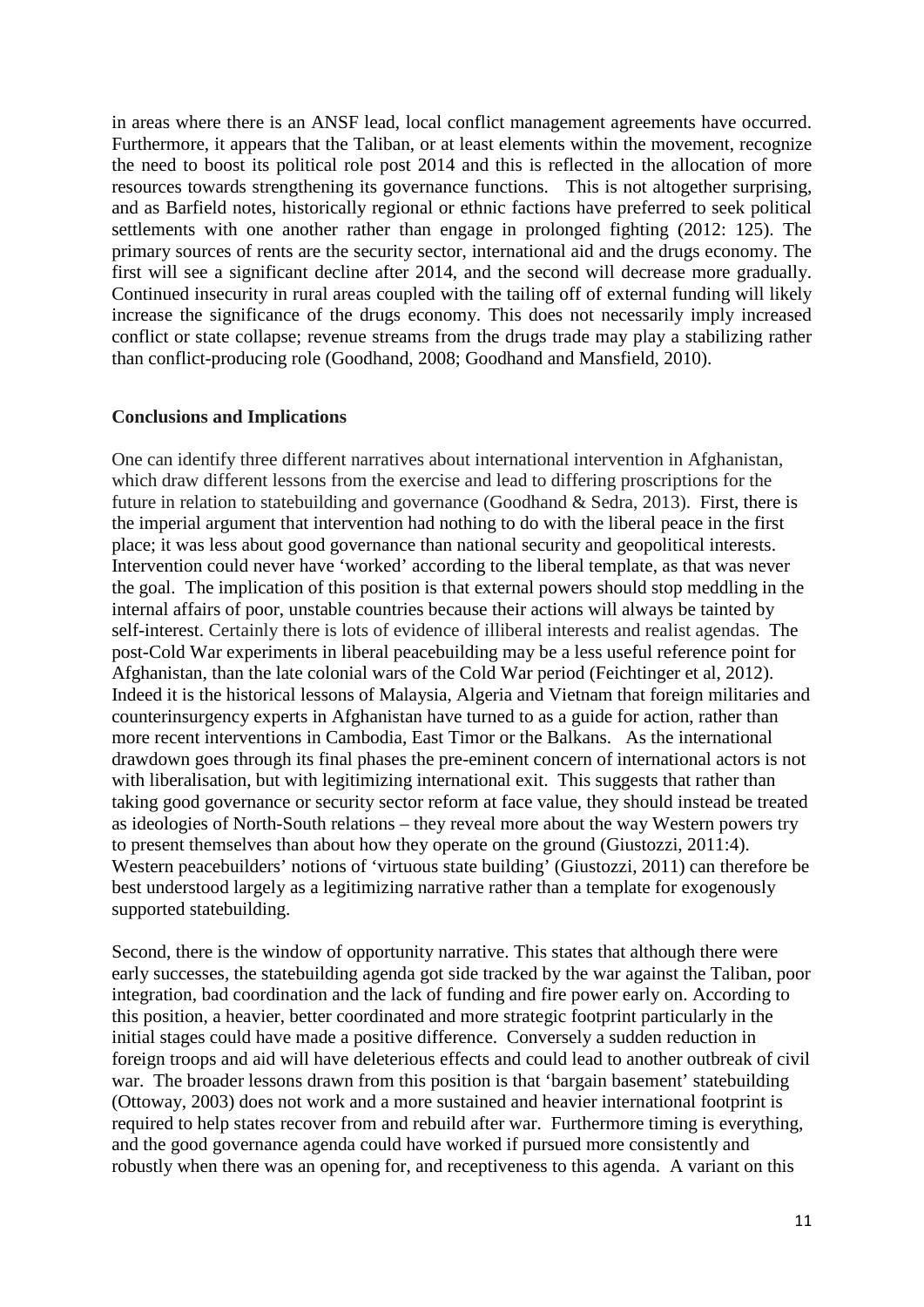in areas where there is an ANSF lead, local conflict management agreements have occurred. Furthermore, it appears that the Taliban, or at least elements within the movement, recognize the need to boost its political role post 2014 and this is reflected in the allocation of more resources towards strengthening its governance functions. This is not altogether surprising, and as Barfield notes, historically regional or ethnic factions have preferred to seek political settlements with one another rather than engage in prolonged fighting (2012: 125). The primary sources of rents are the security sector, international aid and the drugs economy. The first will see a significant decline after 2014, and the second will decrease more gradually. Continued insecurity in rural areas coupled with the tailing off of external funding will likely increase the significance of the drugs economy. This does not necessarily imply increased conflict or state collapse; revenue streams from the drugs trade may play a stabilizing rather than conflict-producing role (Goodhand, 2008; Goodhand and Mansfield, 2010).

### **Conclusions and Implications**

One can identify three different narratives about international intervention in Afghanistan, which draw different lessons from the exercise and lead to differing proscriptions for the future in relation to statebuilding and governance (Goodhand & Sedra, 2013). First, there is the imperial argument that intervention had nothing to do with the liberal peace in the first place; it was less about good governance than national security and geopolitical interests. Intervention could never have 'worked' according to the liberal template, as that was never the goal. The implication of this position is that external powers should stop meddling in the internal affairs of poor, unstable countries because their actions will always be tainted by self-interest. Certainly there is lots of evidence of illiberal interests and realist agendas. The post-Cold War experiments in liberal peacebuilding may be a less useful reference point for Afghanistan, than the late colonial wars of the Cold War period (Feichtinger et al, 2012). Indeed it is the historical lessons of Malaysia, Algeria and Vietnam that foreign militaries and counterinsurgency experts in Afghanistan have turned to as a guide for action, rather than more recent interventions in Cambodia, East Timor or the Balkans. As the international drawdown goes through its final phases the pre-eminent concern of international actors is not with liberalisation, but with legitimizing international exit. This suggests that rather than taking good governance or security sector reform at face value, they should instead be treated as ideologies of North-South relations – they reveal more about the way Western powers try to present themselves than about how they operate on the ground (Giustozzi, 2011:4). Western peacebuilders' notions of 'virtuous state building' (Giustozzi, 2011) can therefore be best understood largely as a legitimizing narrative rather than a template for exogenously supported statebuilding.

Second, there is the window of opportunity narrative. This states that although there were early successes, the statebuilding agenda got side tracked by the war against the Taliban, poor integration, bad coordination and the lack of funding and fire power early on. According to this position, a heavier, better coordinated and more strategic footprint particularly in the initial stages could have made a positive difference. Conversely a sudden reduction in foreign troops and aid will have deleterious effects and could lead to another outbreak of civil war. The broader lessons drawn from this position is that 'bargain basement' statebuilding (Ottoway, 2003) does not work and a more sustained and heavier international footprint is required to help states recover from and rebuild after war. Furthermore timing is everything, and the good governance agenda could have worked if pursued more consistently and robustly when there was an opening for, and receptiveness to this agenda. A variant on this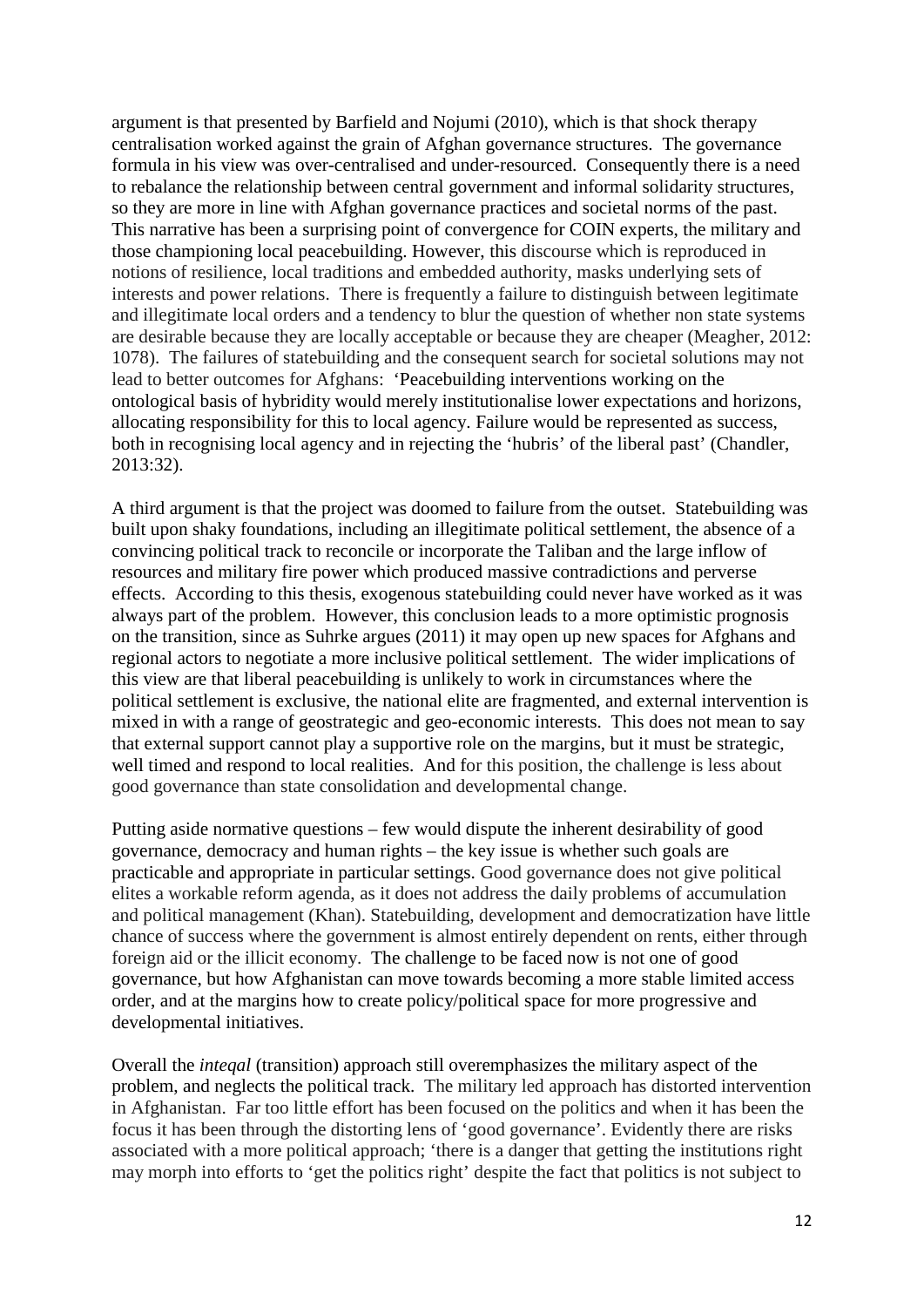argument is that presented by Barfield and Nojumi (2010), which is that shock therapy centralisation worked against the grain of Afghan governance structures. The governance formula in his view was over-centralised and under-resourced. Consequently there is a need to rebalance the relationship between central government and informal solidarity structures, so they are more in line with Afghan governance practices and societal norms of the past. This narrative has been a surprising point of convergence for COIN experts, the military and those championing local peacebuilding. However, this discourse which is reproduced in notions of resilience, local traditions and embedded authority, masks underlying sets of interests and power relations. There is frequently a failure to distinguish between legitimate and illegitimate local orders and a tendency to blur the question of whether non state systems are desirable because they are locally acceptable or because they are cheaper (Meagher, 2012: 1078). The failures of statebuilding and the consequent search for societal solutions may not lead to better outcomes for Afghans: 'Peacebuilding interventions working on the ontological basis of hybridity would merely institutionalise lower expectations and horizons, allocating responsibility for this to local agency. Failure would be represented as success, both in recognising local agency and in rejecting the 'hubris' of the liberal past' (Chandler, 2013:32).

A third argument is that the project was doomed to failure from the outset. Statebuilding was built upon shaky foundations, including an illegitimate political settlement, the absence of a convincing political track to reconcile or incorporate the Taliban and the large inflow of resources and military fire power which produced massive contradictions and perverse effects. According to this thesis, exogenous statebuilding could never have worked as it was always part of the problem. However, this conclusion leads to a more optimistic prognosis on the transition, since as Suhrke argues (2011) it may open up new spaces for Afghans and regional actors to negotiate a more inclusive political settlement. The wider implications of this view are that liberal peacebuilding is unlikely to work in circumstances where the political settlement is exclusive, the national elite are fragmented, and external intervention is mixed in with a range of geostrategic and geo-economic interests. This does not mean to say that external support cannot play a supportive role on the margins, but it must be strategic, well timed and respond to local realities. And for this position, the challenge is less about good governance than state consolidation and developmental change.

Putting aside normative questions – few would dispute the inherent desirability of good governance, democracy and human rights – the key issue is whether such goals are practicable and appropriate in particular settings. Good governance does not give political elites a workable reform agenda, as it does not address the daily problems of accumulation and political management (Khan). Statebuilding, development and democratization have little chance of success where the government is almost entirely dependent on rents, either through foreign aid or the illicit economy. The challenge to be faced now is not one of good governance, but how Afghanistan can move towards becoming a more stable limited access order, and at the margins how to create policy/political space for more progressive and developmental initiatives.

Overall the *inteqal* (transition) approach still overemphasizes the military aspect of the problem, and neglects the political track. The military led approach has distorted intervention in Afghanistan. Far too little effort has been focused on the politics and when it has been the focus it has been through the distorting lens of 'good governance'. Evidently there are risks associated with a more political approach; 'there is a danger that getting the institutions right may morph into efforts to 'get the politics right' despite the fact that politics is not subject to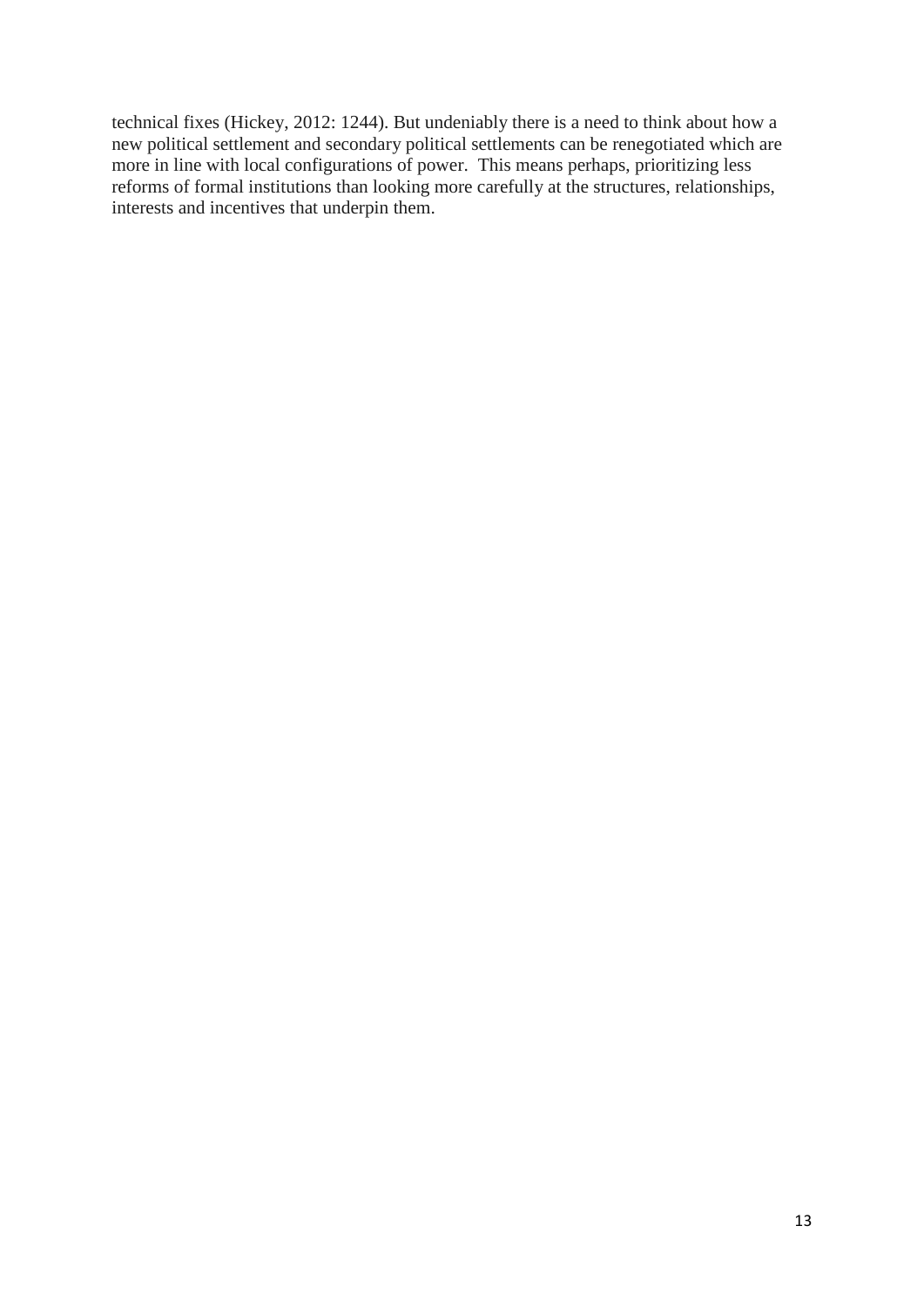technical fixes (Hickey, 2012: 1244). But undeniably there is a need to think about how a new political settlement and secondary political settlements can be renegotiated which are more in line with local configurations of power. This means perhaps, prioritizing less reforms of formal institutions than looking more carefully at the structures, relationships, interests and incentives that underpin them.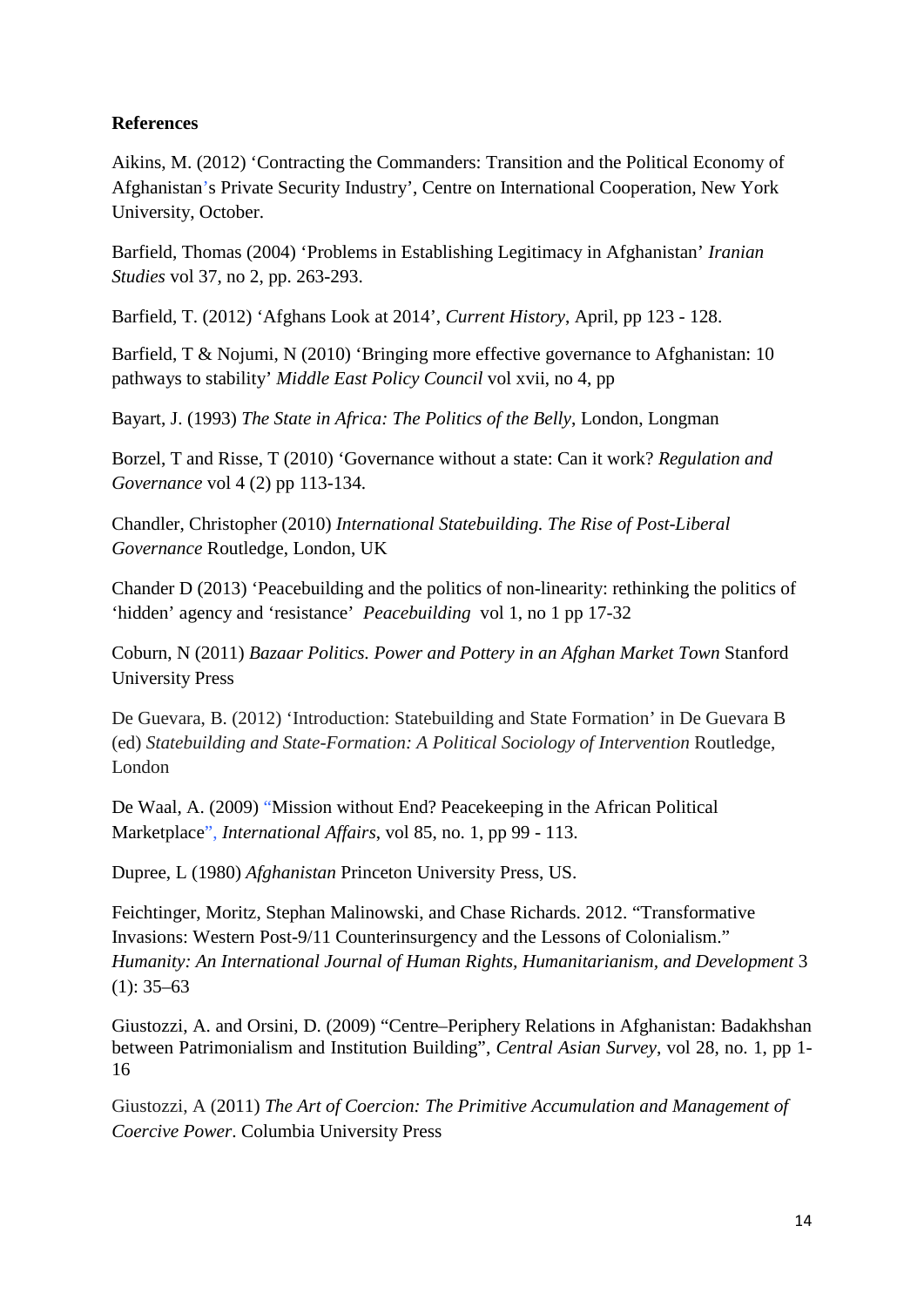# **References**

Aikins, M. (2012) 'Contracting the Commanders: Transition and the Political Economy of Afghanistan's Private Security Industry', Centre on International Cooperation, New York University, October.

Barfield, Thomas (2004) 'Problems in Establishing Legitimacy in Afghanistan' *Iranian Studies* vol 37, no 2, pp. 263-293.

Barfield, T. (2012) 'Afghans Look at 2014', *Current History*, April, pp 123 - 128.

Barfield, T & Nojumi, N (2010) 'Bringing more effective governance to Afghanistan: 10 pathways to stability' *Middle East Policy Council* vol xvii, no 4, pp

Bayart, J. (1993) *The State in Africa: The Politics of the Belly*, London, Longman

Borzel, T and Risse, T (2010) 'Governance without a state: Can it work? *Regulation and Governance* vol 4 (2) pp 113-134.

Chandler, Christopher (2010) *International Statebuilding. The Rise of Post-Liberal Governance* Routledge, London, UK

Chander D (2013) 'Peacebuilding and the politics of non-linearity: rethinking the politics of 'hidden' agency and 'resistance' *Peacebuilding* vol 1, no 1 pp 17-32

Coburn, N (2011) *Bazaar Politics. Power and Pottery in an Afghan Market Town* Stanford University Press

De Guevara, B. (2012) 'Introduction: Statebuilding and State Formation' in De Guevara B (ed) *Statebuilding and State-Formation: A Political Sociology of Intervention* Routledge, London

De Waal, A. (2009) "Mission without End? Peacekeeping in the African Political Marketplace", *International Affairs*, vol 85, no. 1, pp 99 - 113.

Dupree, L (1980) *Afghanistan* Princeton University Press, US.

Feichtinger, Moritz, Stephan Malinowski, and Chase Richards. 2012. "Transformative Invasions: Western Post-9/11 Counterinsurgency and the Lessons of Colonialism." *Humanity: An International Journal of Human Rights, Humanitarianism, and Development* 3  $(1): 35-63$ 

Giustozzi, A. and Orsini, D. (2009) "Centre–Periphery Relations in Afghanistan: Badakhshan between Patrimonialism and Institution Building", *Central Asian Survey*, vol 28, no. 1, pp 1- 16

Giustozzi, A (2011) *The Art of Coercion: The Primitive Accumulation and Management of Coercive Power*. Columbia University Press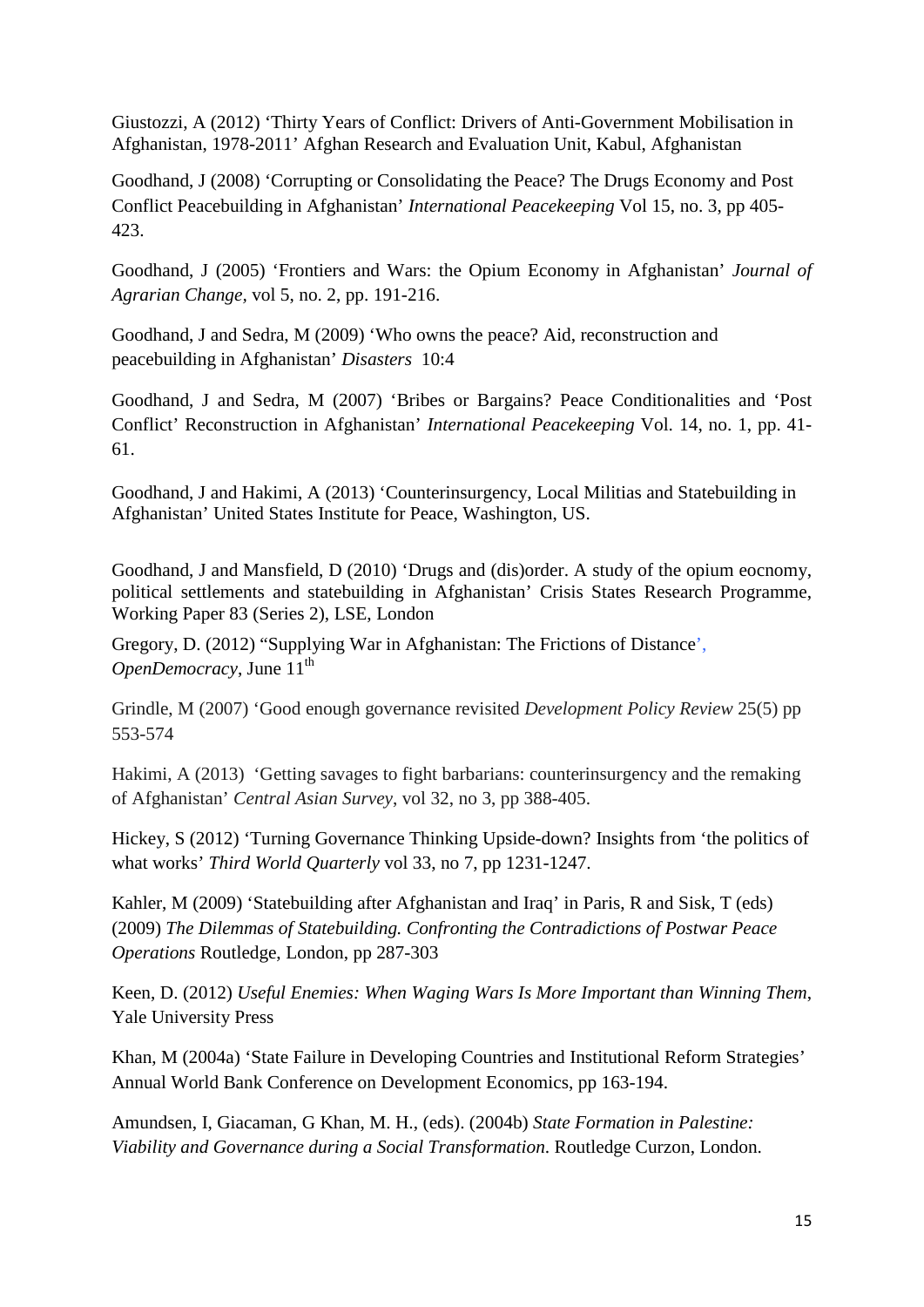Giustozzi, A (2012) 'Thirty Years of Conflict: Drivers of Anti-Government Mobilisation in Afghanistan, 1978-2011' Afghan Research and Evaluation Unit, Kabul, Afghanistan

Goodhand, J (2008) 'Corrupting or Consolidating the Peace? The Drugs Economy and Post Conflict Peacebuilding in Afghanistan' *International Peacekeeping* Vol 15, no. 3, pp 405- 423.

Goodhand, J (2005) 'Frontiers and Wars: the Opium Economy in Afghanistan' *Journal of Agrarian Change,* vol 5, no. 2, pp. 191-216.

Goodhand, J and Sedra, M (2009) 'Who owns the peace? Aid, reconstruction and peacebuilding in Afghanistan' *Disasters* 10:4

Goodhand, J and Sedra, M (2007) 'Bribes or Bargains? Peace Conditionalities and 'Post Conflict' Reconstruction in Afghanistan' *International Peacekeeping* Vol. 14, no. 1, pp. 41- 61.

Goodhand, J and Hakimi, A (2013) 'Counterinsurgency, Local Militias and Statebuilding in Afghanistan' United States Institute for Peace, Washington, US.

Goodhand, J and Mansfield, D (2010) 'Drugs and (dis)order. A study of the opium eocnomy, political settlements and statebuilding in Afghanistan' Crisis States Research Programme, Working Paper 83 (Series 2), LSE, London

Gregory, D. (2012) "Supplying War in Afghanistan: The Frictions of Distance', *OpenDemocracy*, June 11<sup>th</sup>

Grindle, M (2007) 'Good enough governance revisited *Development Policy Review* 25(5) pp 553-574

Hakimi, A (2013) 'Getting savages to fight barbarians: counterinsurgency and the remaking of Afghanistan' *Central Asian Survey*, vol 32, no 3, pp 388-405.

Hickey, S (2012) 'Turning Governance Thinking Upside-down? Insights from 'the politics of what works' *Third World Quarterly* vol 33, no 7, pp 1231-1247.

Kahler, M (2009) 'Statebuilding after Afghanistan and Iraq' in Paris, R and Sisk, T (eds) (2009) *The Dilemmas of Statebuilding. Confronting the Contradictions of Postwar Peace Operations* Routledge, London, pp 287-303

Keen, D. (2012) *Useful Enemies: When Waging Wars Is More Important than Winning Them*, Yale University Press

Khan, M (2004a) 'State Failure in Developing Countries and Institutional Reform Strategies' Annual World Bank Conference on Development Economics, pp 163-194.

Amundsen, I, Giacaman, G Khan, M. H., (eds). (2004b) *State Formation in Palestine: Viability and Governance during a Social Transformation*. Routledge Curzon, London.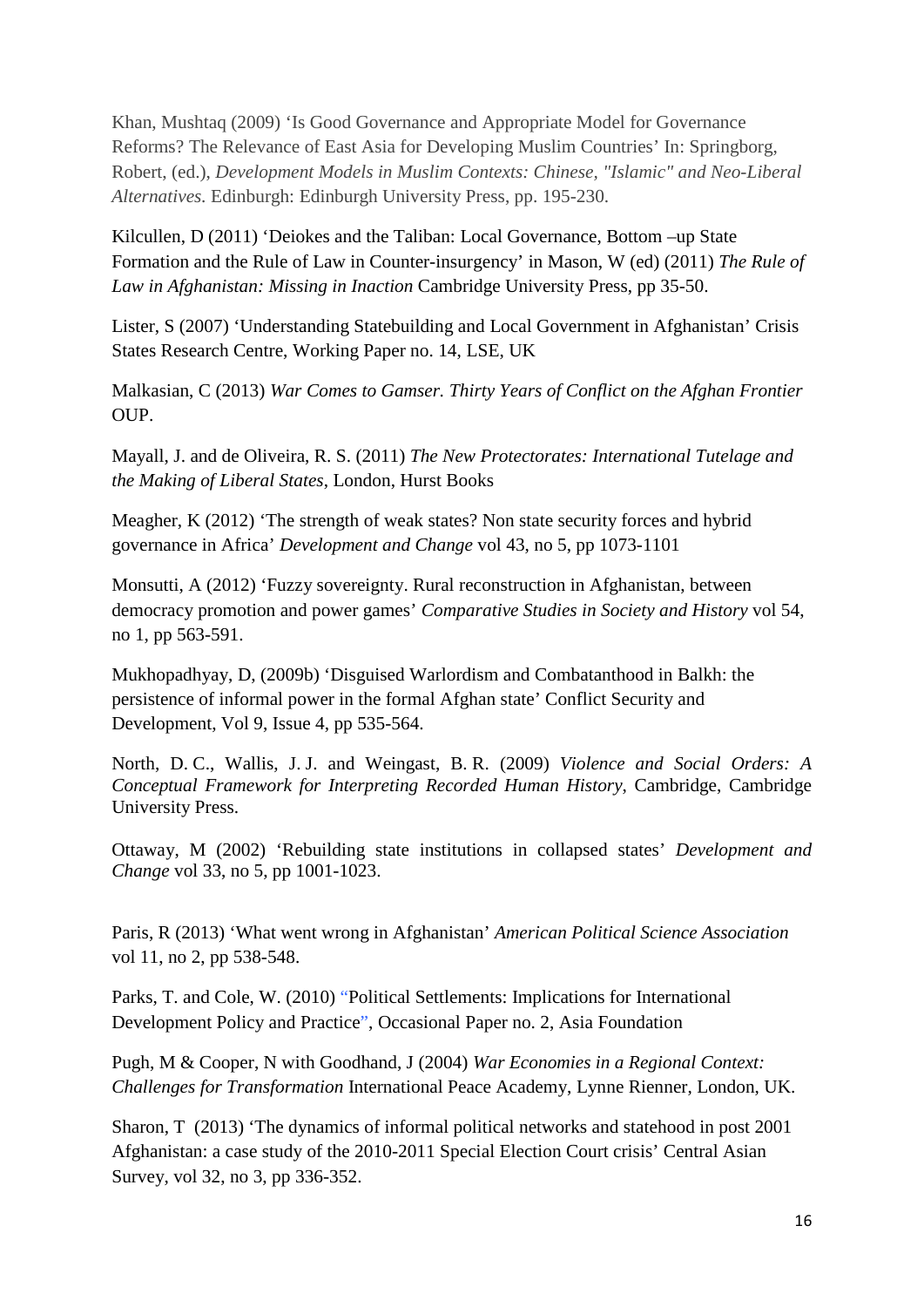Khan, Mushtaq (2009) 'Is Good Governance and Appropriate Model for Governance Reforms? The Relevance of East Asia for Developing Muslim Countries' In: Springborg, Robert, (ed.), *Development Models in Muslim Contexts: Chinese, "Islamic" and Neo-Liberal Alternatives.* Edinburgh: Edinburgh University Press, pp. 195-230.

Kilcullen, D (2011) 'Deiokes and the Taliban: Local Governance, Bottom –up State Formation and the Rule of Law in Counter-insurgency' in Mason, W (ed) (2011) *The Rule of Law in Afghanistan: Missing in Inaction* Cambridge University Press, pp 35-50.

Lister, S (2007) 'Understanding Statebuilding and Local Government in Afghanistan' Crisis States Research Centre, Working Paper no. 14, LSE, UK

Malkasian, C (2013) *War Comes to Gamser. Thirty Years of Conflict on the Afghan Frontier*  OUP.

Mayall, J. and de Oliveira, R. S. (2011) *The New Protectorates: International Tutelage and the Making of Liberal States*, London, Hurst Books

Meagher, K (2012) 'The strength of weak states? Non state security forces and hybrid governance in Africa' *Development and Change* vol 43, no 5, pp 1073-1101

Monsutti, A (2012) 'Fuzzy sovereignty. Rural reconstruction in Afghanistan, between democracy promotion and power games' *Comparative Studies in Society and History* vol 54, no 1, pp 563-591.

Mukhopadhyay, D, (2009b) 'Disguised Warlordism and Combatanthood in Balkh: the persistence of informal power in the formal Afghan state' Conflict Security and Development, Vol 9, Issue 4, pp 535-564.

North, D. C., Wallis, J. J. and Weingast, B. R. (2009) *Violence and Social Orders: A Conceptual Framework for Interpreting Recorded Human History*, Cambridge, Cambridge University Press.

Ottaway, M (2002) 'Rebuilding state institutions in collapsed states' *Development and Change* vol 33, no 5, pp 1001-1023.

Paris, R (2013) 'What went wrong in Afghanistan' *American Political Science Association*  vol 11, no 2, pp 538-548.

Parks, T. and Cole, W. (2010) "Political Settlements: Implications for International Development Policy and Practice", Occasional Paper no. 2, Asia Foundation

Pugh, M & Cooper, N with Goodhand, J (2004) *War Economies in a Regional Context: Challenges for Transformation* International Peace Academy, Lynne Rienner, London, UK.

Sharon, T (2013) 'The dynamics of informal political networks and statehood in post 2001 Afghanistan: a case study of the 2010-2011 Special Election Court crisis' Central Asian Survey, vol 32, no 3, pp 336-352.